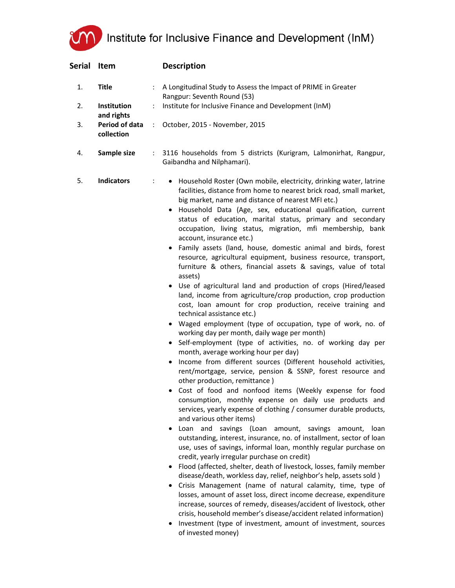Institute for Inclusive Finance and Development (InM)

| Serial | Item                             |               | <b>Description</b>                                                                                                                                                                                                                                                                                                                                                                                                                                                                                                                                                                                                                                                                                                                                                                                                                                                                                                                                                                                                                                                                                                                                                                                                                                                                                                                                                                                                                                                                                                                                                                                                                                                                                                                                                                                                                                                                                                                                                                                                                                                                                                                                                                                                                                                                     |
|--------|----------------------------------|---------------|----------------------------------------------------------------------------------------------------------------------------------------------------------------------------------------------------------------------------------------------------------------------------------------------------------------------------------------------------------------------------------------------------------------------------------------------------------------------------------------------------------------------------------------------------------------------------------------------------------------------------------------------------------------------------------------------------------------------------------------------------------------------------------------------------------------------------------------------------------------------------------------------------------------------------------------------------------------------------------------------------------------------------------------------------------------------------------------------------------------------------------------------------------------------------------------------------------------------------------------------------------------------------------------------------------------------------------------------------------------------------------------------------------------------------------------------------------------------------------------------------------------------------------------------------------------------------------------------------------------------------------------------------------------------------------------------------------------------------------------------------------------------------------------------------------------------------------------------------------------------------------------------------------------------------------------------------------------------------------------------------------------------------------------------------------------------------------------------------------------------------------------------------------------------------------------------------------------------------------------------------------------------------------------|
| 1.     | <b>Title</b>                     |               | A Longitudinal Study to Assess the Impact of PRIME in Greater<br>Rangpur: Seventh Round (53)                                                                                                                                                                                                                                                                                                                                                                                                                                                                                                                                                                                                                                                                                                                                                                                                                                                                                                                                                                                                                                                                                                                                                                                                                                                                                                                                                                                                                                                                                                                                                                                                                                                                                                                                                                                                                                                                                                                                                                                                                                                                                                                                                                                           |
| 2.     | <b>Institution</b><br>and rights | ÷             | Institute for Inclusive Finance and Development (InM)                                                                                                                                                                                                                                                                                                                                                                                                                                                                                                                                                                                                                                                                                                                                                                                                                                                                                                                                                                                                                                                                                                                                                                                                                                                                                                                                                                                                                                                                                                                                                                                                                                                                                                                                                                                                                                                                                                                                                                                                                                                                                                                                                                                                                                  |
| 3.     | Period of data<br>collection     | $\mathcal{L}$ | October, 2015 - November, 2015                                                                                                                                                                                                                                                                                                                                                                                                                                                                                                                                                                                                                                                                                                                                                                                                                                                                                                                                                                                                                                                                                                                                                                                                                                                                                                                                                                                                                                                                                                                                                                                                                                                                                                                                                                                                                                                                                                                                                                                                                                                                                                                                                                                                                                                         |
| 4.     | Sample size                      | ÷.            | 3116 households from 5 districts (Kurigram, Lalmonirhat, Rangpur,<br>Gaibandha and Nilphamari).                                                                                                                                                                                                                                                                                                                                                                                                                                                                                                                                                                                                                                                                                                                                                                                                                                                                                                                                                                                                                                                                                                                                                                                                                                                                                                                                                                                                                                                                                                                                                                                                                                                                                                                                                                                                                                                                                                                                                                                                                                                                                                                                                                                        |
| 5.     | <b>Indicators</b>                | ÷             | Household Roster (Own mobile, electricity, drinking water, latrine<br>facilities, distance from home to nearest brick road, small market,<br>big market, name and distance of nearest MFI etc.)<br>· Household Data (Age, sex, educational qualification, current<br>status of education, marital status, primary and secondary<br>occupation, living status, migration, mfi membership, bank<br>account, insurance etc.)<br>• Family assets (land, house, domestic animal and birds, forest<br>resource, agricultural equipment, business resource, transport,<br>furniture & others, financial assets & savings, value of total<br>assets)<br>• Use of agricultural land and production of crops (Hired/leased<br>land, income from agriculture/crop production, crop production<br>cost, loan amount for crop production, receive training and<br>technical assistance etc.)<br>• Waged employment (type of occupation, type of work, no. of<br>working day per month, daily wage per month)<br>• Self-employment (type of activities, no. of working day per<br>month, average working hour per day)<br>Income from different sources (Different household activities,<br>rent/mortgage, service, pension & SSNP, forest resource and<br>other production, remittance)<br>Cost of food and nonfood items (Weekly expense for food<br>consumption, monthly expense on daily use products and<br>services, yearly expense of clothing / consumer durable products,<br>and various other items)<br>Loan and savings (Loan amount, savings amount, loan<br>$\bullet$<br>outstanding, interest, insurance, no. of installment, sector of loan<br>use, uses of savings, informal loan, monthly regular purchase on<br>credit, yearly irregular purchase on credit)<br>Flood (affected, shelter, death of livestock, losses, family member<br>٠<br>disease/death, workless day, relief, neighbor's help, assets sold)<br>Crisis Management (name of natural calamity, time, type of<br>losses, amount of asset loss, direct income decrease, expenditure<br>increase, sources of remedy, diseases/accident of livestock, other<br>crisis, household member's disease/accident related information)<br>Investment (type of investment, amount of investment, sources<br>of invested money) |